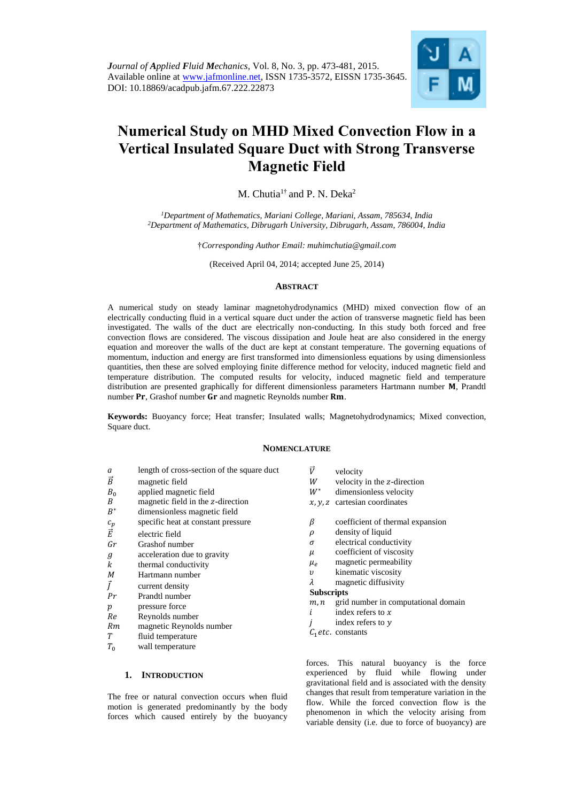*Journal of Applied Fluid Mechanics*, Vol. 8, No. 3, pp. 473-481, 2015. Available online at [www.jafmonline.net,](http://www.jafmonline.net/) ISSN 1735-3572, EISSN 1735-3645. DOI: 10.18869/acadpub.jafm.67.222.22873



# **Numerical Study on MHD Mixed Convection Flow in a Vertical Insulated Square Duct with Strong Transverse Magnetic Field**

M. Chutia<sup>1†</sup> and P. N. Deka<sup>2</sup>

*<sup>1</sup>Department of Mathematics, Mariani College, Mariani, Assam, 785634, India <sup>2</sup>Department of Mathematics, Dibrugarh University, Dibrugarh, Assam, 786004, India* 

†*Corresponding Author Email: [muhimchutia@gmail.com](mailto:muhimchutia@gmail.com)*

(Received April 04, 2014; accepted June 25, 2014)

## **ABSTRACT**

A numerical study on steady laminar magnetohydrodynamics (MHD) mixed convection flow of an electrically conducting fluid in a vertical square duct under the action of transverse magnetic field has been investigated. The walls of the duct are electrically non-conducting. In this study both forced and free convection flows are considered. The viscous dissipation and Joule heat are also considered in the energy equation and moreover the walls of the duct are kept at constant temperature. The governing equations of momentum, induction and energy are first transformed into dimensionless equations by using dimensionless quantities, then these are solved employing finite difference method for velocity, induced magnetic field and temperature distribution. The computed results for velocity, induced magnetic field and temperature distribution are presented graphically for different dimensionless parameters Hartmann number M, Prandtl number Pr, Grashof number Gr and magnetic Reynolds number Rm.

**Keywords:** Buoyancy force; Heat transfer; Insulated walls; Magnetohydrodynamics; Mixed convection, Square duct.

#### **NOMENCLATURE**

- *a* length of cross-section of the square duct
- $\vec{B}$  magnetic field
- $B_0$  applied magnetic field
- $B$  magnetic field in the *z*-direction
- $B^*$ dimensionless magnetic field
- $c_p$  specific heat at constant pressure
- $\vec{E}$  electric field
- Gr<sup>a</sup> Grashof number
- $q$  acceleration due to gravity
- $k$  thermal conductivity
- M Hartmann number
- $\vec{I}$  current density
- $Pr$  Prandtl number
- $p$  pressure force
- Reynolds number
- Rm magnetic Reynolds number
- T fluid temperature
- $T_0$  wall temperature

# **1. INTRODUCTION**

The free or natural convection occurs when fluid motion is generated predominantly by the body forces which caused entirely by the buoyancy

- $\vec{V}$  velocity
- $W$  velocity in the z-direction
- $W^*$  dimensionless velocity
- $x, y, z$  cartesian coordinates
- $\beta$  coefficient of thermal expansion
- $\rho$  density of liquid
- $\sigma$  electrical conductivity
- $\mu$  coefficient of viscosity
- $\mu_e$  magnetic permeability<br>v kinematic viscosity
- kinematic viscosity
- $\lambda$  magnetic diffusivity

#### **Subscripts**

- $m, n$  grid number in computational domain
- $i$  index refers to  $x$
- index refers to y
- $C_1$ etc. constants

forces. This natural buoyancy is the force experienced by fluid while flowing under gravitational field and is associated with the density changes that result from temperature variation in the flow. While the forced convection flow is the phenomenon in which the velocity arising from variable density (i.e. due to force of buoyancy) are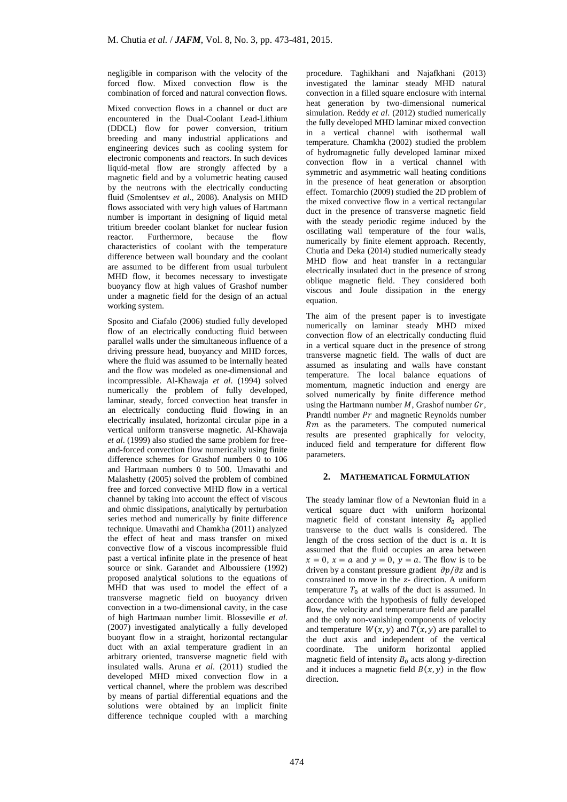negligible in comparison with the velocity of the forced flow. Mixed convection flow is the combination of forced and natural convection flows.

Mixed convection flows in a channel or duct are encountered in the Dual-Coolant Lead-Lithium (DDCL) flow for power conversion, tritium breeding and many industrial applications and engineering devices such as cooling system for electronic components and reactors. In such devices liquid-metal flow are strongly affected by a magnetic field and by a volumetric heating caused by the neutrons with the electrically conducting fluid (Smolentsev *et al*., 2008). Analysis on MHD flows associated with very high values of Hartmann number is important in designing of liquid metal tritium breeder coolant blanket for nuclear fusion reactor. Furthermore, because the flow characteristics of coolant with the temperature difference between wall boundary and the coolant are assumed to be different from usual turbulent MHD flow, it becomes necessary to investigate buoyancy flow at high values of Grashof number under a magnetic field for the design of an actual working system.

Sposito and Ciafalo (2006) studied fully developed flow of an electrically conducting fluid between parallel walls under the simultaneous influence of a driving pressure head, buoyancy and MHD forces, where the fluid was assumed to be internally heated and the flow was modeled as one-dimensional and incompressible. Al-Khawaja *et al*. (1994) solved numerically the problem of fully developed, laminar, steady, forced convection heat transfer in an electrically conducting fluid flowing in an electrically insulated, horizontal circular pipe in a vertical uniform transverse magnetic. Al-Khawaja *et al*. (1999) also studied the same problem for freeand-forced convection flow numerically using finite difference schemes for Grashof numbers 0 to 106 and Hartmaan numbers 0 to 500. Umavathi and Malashetty (2005) solved the problem of combined free and forced convective MHD flow in a vertical channel by taking into account the effect of viscous and ohmic dissipations, analytically by perturbation series method and numerically by finite difference technique. Umavathi and Chamkha (2011) analyzed the effect of heat and mass transfer on mixed convective flow of a viscous incompressible fluid past a vertical infinite plate in the presence of heat source or sink. Garandet and Alboussiere (1992) proposed analytical solutions to the equations of MHD that was used to model the effect of a transverse magnetic field on buoyancy driven convection in a two-dimensional cavity, in the case of high Hartmaan number limit. Blosseville *et al*. (2007) investigated analytically a fully developed buoyant flow in a straight, horizontal rectangular duct with an axial temperature gradient in an arbitrary oriented, transverse magnetic field with insulated walls. Aruna *et al*. (2011) studied the developed MHD mixed convection flow in a vertical channel, where the problem was described by means of partial differential equations and the solutions were obtained by an implicit finite difference technique coupled with a marching

procedure. Taghikhani and Najafkhani (2013) investigated the laminar steady MHD natural convection in a filled square enclosure with internal heat generation by two-dimensional numerical simulation. Reddy *et al*. (2012) studied numerically the fully developed MHD laminar mixed convection in a vertical channel with isothermal wall temperature. Chamkha (2002) studied the problem of hydromagnetic fully developed laminar mixed convection flow in a vertical channel with symmetric and asymmetric wall heating conditions in the presence of heat generation or absorption effect. Tomarchio (2009) studied the 2D problem of the mixed convective flow in a vertical rectangular duct in the presence of transverse magnetic field with the steady periodic regime induced by the oscillating wall temperature of the four walls, numerically by finite element approach. Recently, Chutia and Deka (2014) studied numerically steady MHD flow and heat transfer in a rectangular electrically insulated duct in the presence of strong oblique magnetic field. They considered both viscous and Joule dissipation in the energy equation.

The aim of the present paper is to investigate numerically on laminar steady MHD mixed convection flow of an electrically conducting fluid in a vertical square duct in the presence of strong transverse magnetic field. The walls of duct are assumed as insulating and walls have constant temperature. The local balance equations of momentum, magnetic induction and energy are solved numerically by finite difference method using the Hartmann number  $M$ . Grashof number  $Gr$ . Prandtl number  $Pr$  and magnetic Reynolds number  $Rm$  as the parameters. The computed numerical results are presented graphically for velocity, induced field and temperature for different flow parameters.

# **2. MATHEMATICAL FORMULATION**

The steady laminar flow of a Newtonian fluid in a vertical square duct with uniform horizontal magnetic field of constant intensity  $B_0$  applied transverse to the duct walls is considered. The length of the cross section of the duct is  $a$ . It is assumed that the fluid occupies an area between  $x = 0$ ,  $x = a$  and  $y = 0$ ,  $y = a$ . The flow is to be driven by a constant pressure gradient  $\partial p / \partial z$  and is constrained to move in the z- direction. A uniform temperature  $T_0$  at walls of the duct is assumed. In accordance with the hypothesis of fully developed flow, the velocity and temperature field are parallel and the only non-vanishing components of velocity and temperature  $W(x, y)$  and  $T(x, y)$  are parallel to the duct axis and independent of the vertical coordinate. The uniform horizontal applied magnetic field of intensity  $B_0$  acts along y-direction and it induces a magnetic field  $B(x, y)$  in the flow direction.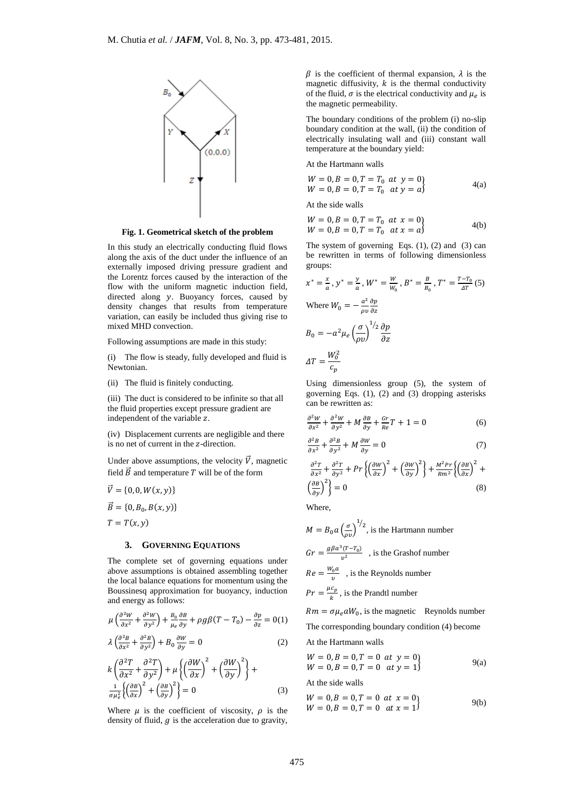

**Fig. 1. Geometrical sketch of the problem**

In this study an electrically conducting fluid flows along the axis of the duct under the influence of an externally imposed driving pressure gradient and the Lorentz forces caused by the interaction of the flow with the uniform magnetic induction field, directed along  $y$ . Buoyancy forces, caused by density changes that results from temperature variation, can easily be included thus giving rise to mixed MHD convection.

Following assumptions are made in this study:

(i) The flow is steady, fully developed and fluid is Newtonian.

(ii) The fluid is finitely conducting.

(iii) The duct is considered to be infinite so that all the fluid properties except pressure gradient are independent of the variable z.

(iv) Displacement currents are negligible and there is no net of current in the z-direction.

Under above assumptions, the velocity  $\vec{V}$ , magnetic field  $\vec{B}$  and temperature T will be of the form

 $\vec{V} = \{0, 0, W(x, y)\}\$  $\vec{B} = \{0, B_0, B(x, y)\}$  $T = T(x, y)$ 

#### **3. GOVERNING EQUATIONS**

The complete set of governing equations under above assumptions is obtained assembling together the local balance equations for momentum using the Boussinesq approximation for buoyancy, induction and energy as follows:

$$
\mu \left( \frac{\partial^2 W}{\partial x^2} + \frac{\partial^2 W}{\partial y^2} \right) + \frac{B_0}{\mu_e} \frac{\partial B}{\partial y} + \rho g \beta (T - T_0) - \frac{\partial p}{\partial z} = 0
$$
(1)

$$
\lambda \left( \frac{\partial^2 B}{\partial x^2} + \frac{\partial^2 B}{\partial y^2} \right) + B_0 \frac{\partial W}{\partial y} = 0
$$
 (2)

$$
k\left(\frac{\partial^2 T}{\partial x^2} + \frac{\partial^2 T}{\partial y^2}\right) + \mu \left\{ \left(\frac{\partial W}{\partial x}\right)^2 + \left(\frac{\partial W}{\partial y}\right)^2 \right\} + \frac{1}{\sigma \mu_e^2} \left\{ \left(\frac{\partial B}{\partial x}\right)^2 + \left(\frac{\partial B}{\partial y}\right)^2 \right\} = 0
$$
 (3)

Where  $\mu$  is the coefficient of viscosity,  $\rho$  is the density of fluid,  $q$  is the acceleration due to gravity,

 $\beta$  is the coefficient of thermal expansion,  $\lambda$  is the magnetic diffusivity,  $k$  is the thermal conductivity of the fluid,  $\sigma$  is the electrical conductivity and  $\mu_e$  is the magnetic permeability.

The boundary conditions of the problem (i) no-slip boundary condition at the wall, (ii) the condition of electrically insulating wall and (iii) constant wall temperature at the boundary yield:

At the Hartmann walls

$$
W = 0, B = 0, T = T_0 \text{ at } y = 0W = 0, B = 0, T = T_0 \text{ at } y = a
$$
 (a)

At the side walls

 $c_p$ 

$$
W = 0, B = 0, T = T_0 \text{ at } x = 0\nW = 0, B = 0, T = T_0 \text{ at } x = a
$$
\n
$$
4(b)
$$

The system of governing Eqs.  $(1)$ ,  $(2)$  and  $(3)$  can be rewritten in terms of following dimensionless groups:

$$
x^* = \frac{x}{a}, y^* = \frac{y}{a}, W^* = \frac{W}{w_0}, B^* = \frac{B}{B_0}, T^* = \frac{T - T_0}{AT}(5)
$$
  
Where  $W_0 = -\frac{a^2}{\rho v} \frac{\partial p}{\partial z}$   

$$
B_0 = -a^2 \mu_e \left(\frac{\sigma}{\rho v}\right)^{1/2} \frac{\partial p}{\partial z}
$$
  

$$
\Delta T = \frac{W_0^2}{C_0}
$$

Using dimensionless group (5), the system of governing Eqs. (1), (2) and (3) dropping asterisks can be rewritten as:

$$
\frac{\partial^2 W}{\partial x^2} + \frac{\partial^2 W}{\partial y^2} + M \frac{\partial B}{\partial y} + \frac{Gr}{Re} T + 1 = 0
$$
 (6)

$$
\frac{\partial^2 B}{\partial x^2} + \frac{\partial^2 B}{\partial y^2} + M \frac{\partial W}{\partial y} = 0
$$
 (7)

$$
\frac{\partial^2 T}{\partial x^2} + \frac{\partial^2 T}{\partial y^2} + Pr\left\{ \left(\frac{\partial W}{\partial x}\right)^2 + \left(\frac{\partial W}{\partial y}\right)^2 \right\} + \frac{M^2 Pr}{Rm^2} \left\{ \left(\frac{\partial B}{\partial x}\right)^2 + \left(\frac{\partial B}{\partial y}\right)^2 \right\} = 0
$$
\n(8)

Where,

$$
M = B_0 a \left(\frac{\sigma}{\rho v}\right)^{1/2}
$$
, is the Hartmann number  
\n
$$
Gr = \frac{g \beta a^3 (T - T_0)}{v^2}
$$
, is the Grashof number  
\n
$$
Re = \frac{W_0 a}{v}
$$
, is the Reynolds number  
\n
$$
Pr = \frac{\mu c_p}{k}
$$
, is the Prandtl number  
\n
$$
Rm = \sigma \mu_e a W_0
$$
, is the magnetic. Reynolds number  
\nThe corresponding boundary condition (4) become

At the Hartmann walls

$$
W = 0, B = 0, T = 0 \text{ at } y = 0\nW = 0, B = 0, T = 0 \text{ at } y = 1
$$
\n(9a)

At the side walls

$$
W = 0, B = 0, T = 0 \text{ at } x = 0\nW = 0, B = 0, T = 0 \text{ at } x = 1
$$
\n
$$
9(b)
$$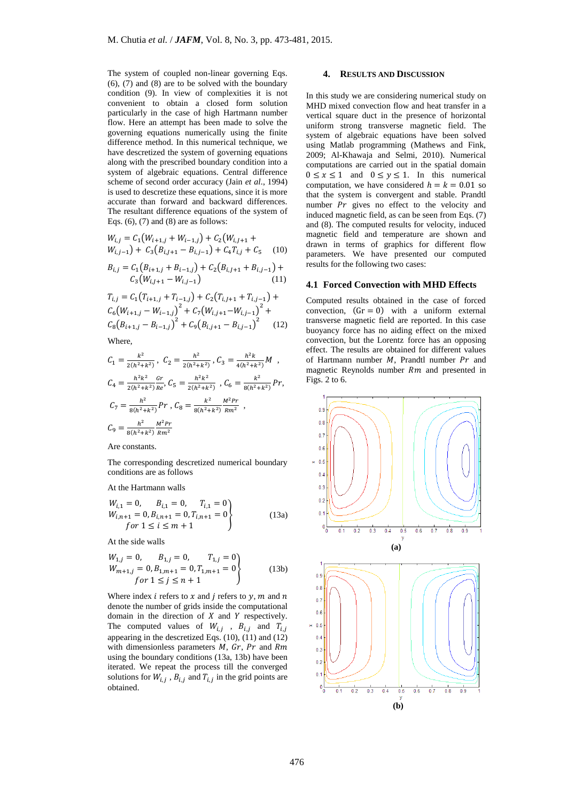The system of coupled non-linear governing Eqs. (6), (7) and (8) are to be solved with the boundary condition (9). In view of complexities it is not convenient to obtain a closed form solution particularly in the case of high Hartmann number flow. Here an attempt has been made to solve the governing equations numerically using the finite difference method. In this numerical technique, we have descretized the system of governing equations along with the prescribed boundary condition into a system of algebraic equations. Central difference scheme of second order accuracy (Jain *et al*., 1994) is used to descretize these equations, since it is more accurate than forward and backward differences. The resultant difference equations of the system of Eqs.  $(6)$ ,  $(7)$  and  $(8)$  are as follows:

$$
W_{i,j} = C_1(W_{i+1,j} + W_{i-1,j}) + C_2(W_{i,j+1} + W_{i,j-1}) + C_3(B_{i,j+1} - B_{i,j-1}) + C_4T_{i,j} + C_5
$$
 (10)

$$
B_{i,j} = C_1 (B_{i+1,j} + B_{i-1,j}) + C_2 (B_{i,j+1} + B_{i,j-1}) + C_3 (W_{i,j+1} - W_{i,j-1})
$$
\n(11)

$$
T_{i,j} = C_1 (T_{i+1,j} + T_{i-1,j}) + C_2 (T_{i,j+1} + T_{i,j-1}) +
$$
  
\n
$$
C_6 (W_{i+1,j} - W_{i-1,j})^2 + C_7 (W_{i,j+1} - W_{i,j-1})^2 +
$$
  
\n
$$
C_8 (B_{i+1,j} - B_{i-1,j})^2 + C_9 (B_{i,j+1} - B_{i,j-1})^2
$$
 (12)

Where,

$$
C_1 = \frac{k^2}{2(h^2 + k^2)}, \ C_2 = \frac{h^2}{2(h^2 + k^2)}, \ C_3 = \frac{h^2 k}{4(h^2 + k^2)} M,
$$
  
\n
$$
C_4 = \frac{h^2 k^2}{2(h^2 + k^2)} \frac{Gr}{Re}, \ C_5 = \frac{h^2 k^2}{2(h^2 + k^2)}, \ C_6 = \frac{k^2}{8(h^2 + k^2)} Pr,
$$
  
\n
$$
C_7 = \frac{h^2}{8(h^2 + k^2)} Pr, \ C_8 = \frac{k^2}{8(h^2 + k^2)} \frac{M^2 Pr}{Rm^2},
$$
  
\n
$$
C_9 = \frac{h^2}{8(h^2 + k^2)} \frac{M^2 Pr}{Rm^2}
$$

Are constants.

The corresponding descretized numerical boundary conditions are as follows

At the Hartmann walls

$$
W_{i,1} = 0, B_{i,1} = 0, T_{i,1} = 0
$$
  
\n
$$
W_{i,n+1} = 0, B_{i,n+1} = 0, T_{i,n+1} = 0
$$
  
\nfor  $1 \le i \le m + 1$  (13a)

At the side walls

$$
W_{1,j} = 0, \t B_{1,j} = 0, \t T_{1,j} = 0\n W_{m+1,j} = 0, B_{1,m+1} = 0, T_{1,m+1} = 0\n \text{for } 1 \le j \le n+1
$$
\n(13b)

Where index *i* refers to  $x$  and *j* refers to  $y$ ,  $m$  and  $n$ denote the number of grids inside the computational domain in the direction of  $X$  and  $Y$  respectively. The computed values of  $W_{i,j}$ ,  $B_{i,j}$  and  $T_{i,j}$ appearing in the descretized Eqs. (10), (11) and (12) with dimensionless parameters  $M$ ,  $Gr$ ,  $Pr$  and  $Rm$ using the boundary conditions (13a, 13b) have been iterated. We repeat the process till the converged solutions for  $W_{i,j}$ ,  $B_{i,j}$  and  $T_{i,j}$  in the grid points are obtained.

#### **4. RESULTS AND DISCUSSION**

In this study we are considering numerical study on MHD mixed convection flow and heat transfer in a vertical square duct in the presence of horizontal uniform strong transverse magnetic field. The system of algebraic equations have been solved using Matlab programming (Mathews and Fink, 2009; Al-Khawaja and Selmi, 2010). Numerical computations are carried out in the spatial domain  $0 \le x \le 1$  and  $0 \le y \le 1$ . In this numerical computation, we have considered  $h = k = 0.01$  so that the system is convergent and stable. Prandtl number  $Pr$  gives no effect to the velocity and induced magnetic field, as can be seen from Eqs. (7) and (8). The computed results for velocity, induced magnetic field and temperature are shown and drawn in terms of graphics for different flow parameters. We have presented our computed results for the following two cases:

### **4.1 Forced Convection with MHD Effects**

Computed results obtained in the case of forced convection,  $(Gr = 0)$  with a uniform external transverse magnetic field are reported. In this case buoyancy force has no aiding effect on the mixed convection, but the Lorentz force has an opposing effect. The results are obtained for different values of Hartmann number  $M$ , Prandtl number  $Pr$  and magnetic Reynolds number  $Rm$  and presented in Figs. 2 to 6.

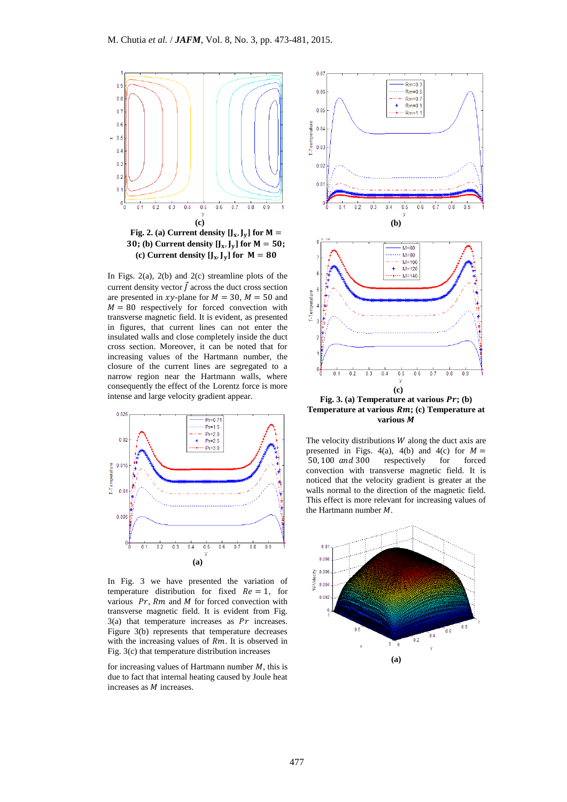

**Fig. 2.** (a) Current density  $[J_x, J_y]$  for  $M =$ **30;** (b) Current density  $[J_x, J_y]$  for  $M = 50$ ; (c) Current density  $[J_x, J_y]$  for  $M = 80$ 

In Figs.  $2(a)$ ,  $2(b)$  and  $2(c)$  streamline plots of the current density vector  $\vec{f}$  across the duct cross section are presented in xy-plane for  $M = 30$ ,  $M = 50$  and  $M = 80$  respectively for forced convection with transverse magnetic field. It is evident, as presented in figures, that current lines can not enter the insulated walls and close completely inside the duct cross section. Moreover, it can be noted that for increasing values of the Hartmann number, the closure of the current lines are segregated to a narrow region near the Hartmann walls, where consequently the effect of the Lorentz force is more intense and large velocity gradient appear.



In Fig. 3 we have presented the variation of temperature distribution for fixed  $Re = 1$ , for various  $Pr$ ,  $Rm$  and  $M$  for forced convection with transverse magnetic field. It is evident from Fig.  $3(a)$  that temperature increases as  $Pr$  increases. Figure 3(b) represents that temperature decreases with the increasing values of  $Rm$ . It is observed in Fig. 3(c) that temperature distribution increases

for increasing values of Hartmann number  $M$ , this is due to fact that internal heating caused by Joule heat increases as  $M$  increases.



**Temperature at various** *Rm***; (c) <b>Temperature at various** 

The velocity distributions  $W$  along the duct axis are presented in Figs. 4(a), 4(b) and 4(c) for  $M =$ 50, 100 and 300 respectively for forced convection with transverse magnetic field. It is noticed that the velocity gradient is greater at the walls normal to the direction of the magnetic field. This effect is more relevant for increasing values of the Hartmann number  $M$ .

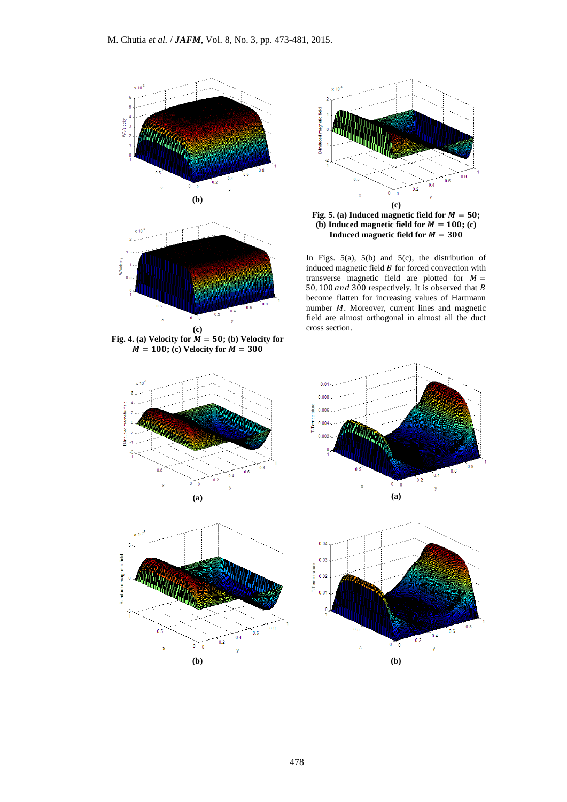

Fig. 4. (a) Velocity for  $M = 50$ ; (b) Velocity for  $\dot{M} = 100$ ; (c) Velocity for  $\dot{M} = 300$ 









In Figs.  $5(a)$ ,  $5(b)$  and  $5(c)$ , the distribution of induced magnetic field  $B$  for forced convection with transverse magnetic field are plotted for  $M =$ 50, 100 and 300 respectively. It is observed that B become flatten for increasing values of Hartmann number  $M$ . Moreover, current lines and magnetic field are almost orthogonal in almost all the duct cross section.



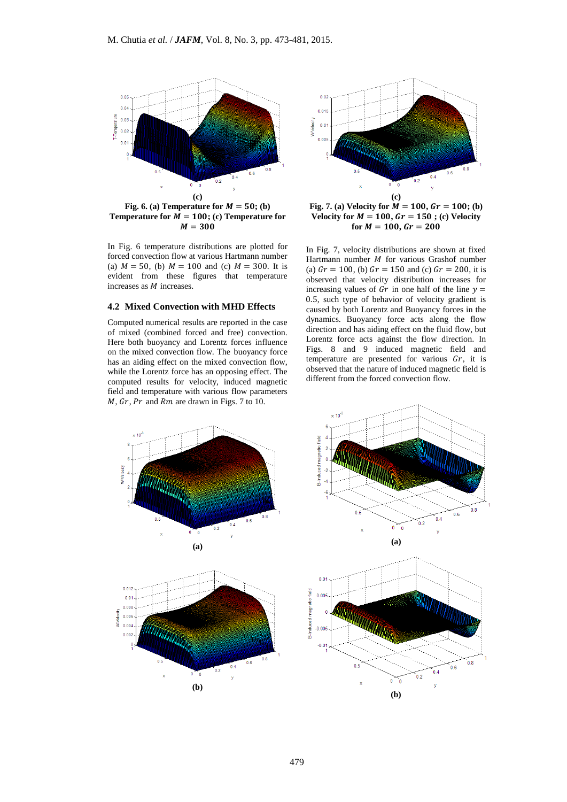

**Temperature for**  $\overline{M} = 100$ **; (c) Temperature for**  $M = 300$ 

In Fig. 6 temperature distributions are plotted for forced convection flow at various Hartmann number (a)  $M = 50$ , (b)  $M = 100$  and (c)  $M = 300$ . It is evident from these figures that temperature increases as  $M$  increases.

# **4.2 Mixed Convection with MHD Effects**

Computed numerical results are reported in the case of mixed (combined forced and free) convection. Here both buoyancy and Lorentz forces influence on the mixed convection flow. The buoyancy force has an aiding effect on the mixed convection flow, while the Lorentz force has an opposing effect. The computed results for velocity, induced magnetic field and temperature with various flow parameters  $M$ ,  $Gr$ ,  $Pr$  and  $Rm$  are drawn in Figs. 7 to 10.



**Fig. 7.** (a) Velocity for  $\vec{M} = 100$ ,  $\vec{G}r = 100$ ; (b) **Velocity for**  $M = 100$ **,**  $Gr = 150$ **; (c) Velocity**  $for M = 100, Gr = 200$ 

In Fig. 7, velocity distributions are shown at fixed Hartmann number  $M$  for various Grashof number (a)  $Gr = 100$ , (b)  $Gr = 150$  and (c)  $Gr = 200$ , it is observed that velocity distribution increases for increasing values of  $Gr$  in one half of the line  $y =$ 0.5, such type of behavior of velocity gradient is caused by both Lorentz and Buoyancy forces in the dynamics. Buoyancy force acts along the flow direction and has aiding effect on the fluid flow, but Lorentz force acts against the flow direction. In Figs. 8 and 9 induced magnetic field and temperature are presented for various  $Gr$ , it is observed that the nature of induced magnetic field is different from the forced convection flow.



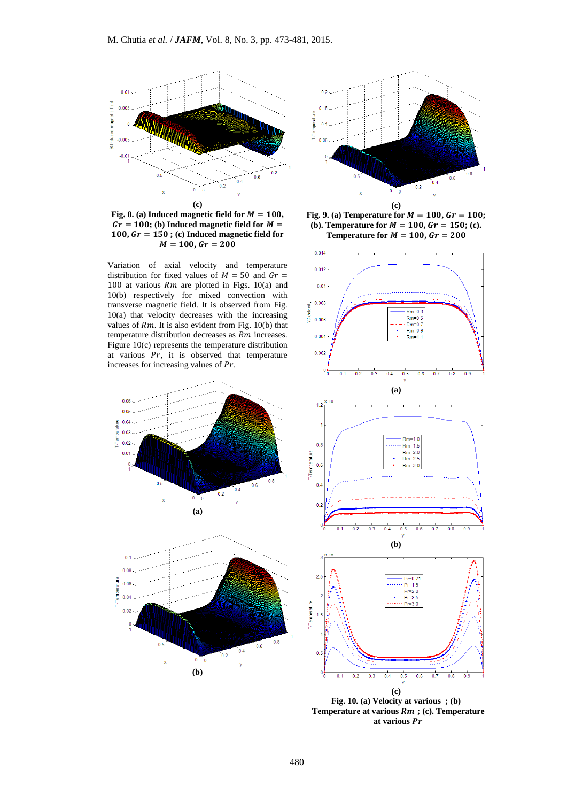

Fig. 8. (a) Induced magnetic field for  $M = 100$ ,  $Gr = 100$ ; (b) Induced magnetic field for  $M =$  $100,$   $Gr = 150$ ; (c) Induced magnetic field for  $M = 100, Gr = 200$ 

Variation of axial velocity and temperature distribution for fixed values of  $M = 50$  and  $Gr =$ 100 at various  $Rm$  are plotted in Figs. 10(a) and 10(b) respectively for mixed convection with transverse magnetic field. It is observed from Fig. 10(a) that velocity decreases with the increasing values of  $Rm$ . It is also evident from Fig. 10(b) that temperature distribution decreases as  $Rm$  increases. Figure 10(c) represents the temperature distribution at various  $Pr$ , it is observed that temperature increases for increasing values of  $Pr$ .









**Fig. 10. (a) Velocity at various ; (b) Temperature at various Rm; (c). Temperature at various**